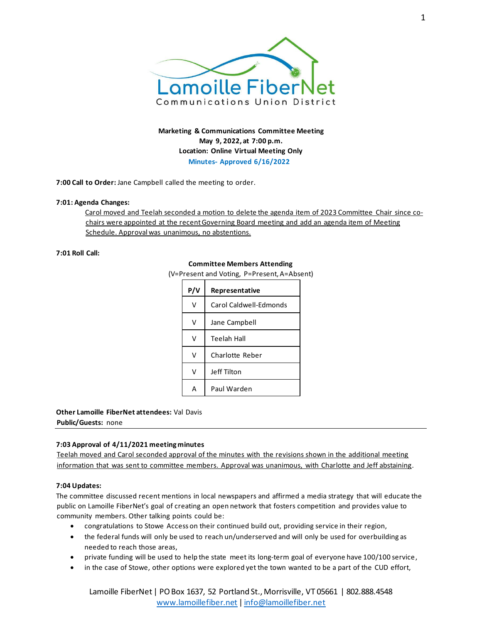

**Marketing & Communications Committee Meeting May 9, 2022, at 7:00 p.m. Location: Online Virtual Meeting Only Minutes- Approved 6/16/2022**

**7:00 Call to Order:** Jane Campbell called the meeting to order.

#### **7:01: Agenda Changes:**

Carol moved and Teelah seconded a motion to delete the agenda item of 2023 Committee Chair since cochairs were appointed at the recent Governing Board meeting and add an agenda item of Meeting Schedule. Approval was unanimous, no abstentions.

## **7:01 Roll Call:**

## **Committee Members Attending**

(V=Present and Voting, P=Present, A=Absent)

| P/V | Representative         |
|-----|------------------------|
| v   | Carol Caldwell-Edmonds |
| v   | Jane Campbell          |
| v   | Teelah Hall            |
|     | Charlotte Reber        |
| v   | Jeff Tilton            |
|     | Paul Warden            |

# **Other Lamoille FiberNet attendees:** Val Davis

**Public/Guests:** none

# **7:03 Approval of 4/11/2021 meeting minutes**

Teelah moved and Carol seconded approval of the minutes with the revisions shown in the additional meeting information that was sent to committee members. Approval was unanimous, with Charlotte and Jeff abstaining.

#### **7:04 Updates:**

The committee discussed recent mentions in local newspapers and affirmed a media strategy that will educate the public on Lamoille FiberNet's goal of creating an open network that fosters competition and provides value to community members. Other talking points could be:

- congratulations to Stowe Access on their continued build out, providing service in their region,
- the federal funds will only be used to reach un/underserved and will only be used for overbuilding as needed to reach those areas,
- private funding will be used to help the state meet its long-term goal of everyone have 100/100 service,
- in the case of Stowe, other options were explored yet the town wanted to be a part of the CUD effort,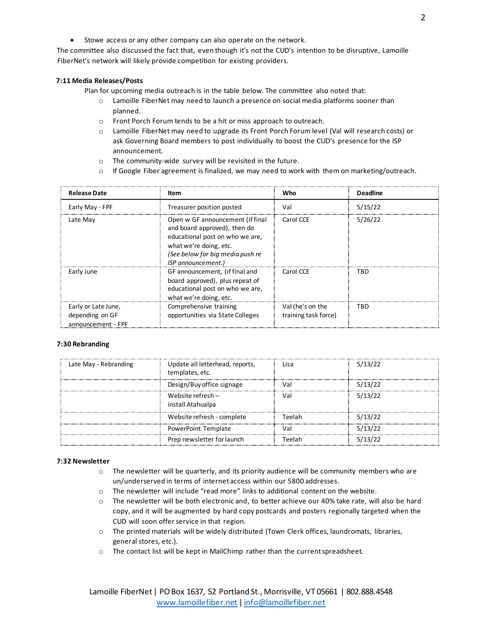• Stowe access or any other company can also operate on the network.

The committee also discussed the fact that, even though it's not the CUD's intention to be disruptive, Lamoille FiberNet's network will likely provide competition for existing providers.

### **7:11 Media Releases/Posts**

Plan for upcoming media outreach is in the table below. The committee also noted that:

- o Lamoille FiberNet may need to launch a presence on social media platforms sooner than planned.
- o Front Porch Forum tends to be a hit or miss approach to outreach.
- o Lamoille FiberNet may need to upgrade its Front Porch Forum level (Val will research costs) or ask Governing Board members to post individually to boost the CUD's presence for the ISP announcement.
- o The community-wide survey will be revisited in the future.
- $\circ$  If Google Fiber agreement is finalized, we may need to work with them on marketing/outreach.

| <b>Release Date</b>                                          | Item                                                                                                                                                                                    | Who                                      | <b>Deadline</b> |
|--------------------------------------------------------------|-----------------------------------------------------------------------------------------------------------------------------------------------------------------------------------------|------------------------------------------|-----------------|
| Early May - FPF                                              | Treasurer position posted                                                                                                                                                               | Val                                      | 5/15/22         |
| Late May                                                     | Open w GF announcement (if final<br>and board approved), then do<br>educational post on who we are,<br>what we're doing, etc.<br>(See below for big media push re<br>ISP announcement.) | Carol CCE                                | 5/26/22         |
| Early June                                                   | GF announcement, (if final and<br>board approved), plus repeat of<br>educational post on who we are,<br>what we're doing, etc.                                                          | Carol CCE                                | TRD             |
| Early or Late June,<br>depending on GF<br>announcement - FPF | Comprehensive training<br>opportunities via State Colleges                                                                                                                              | Val (he's on the<br>training task force) | TBD             |

#### **7:30 Rebranding**

| Late May - Rebranding | Update all letterhead, reports,<br>templates, etc. | Lisa   | 5/13/22 |
|-----------------------|----------------------------------------------------|--------|---------|
|                       | Design/Buy office signage                          | Val    | 5/13/22 |
|                       | Website refresh $-$<br>install Atahualpa           | Val    | 5/13/22 |
|                       | Website refresh - complete                         | Teelah | 5/13/22 |
|                       | PowerPoint Template                                | Val    | 5/13/22 |
|                       | Prep newsletter for launch                         | Teelah | 5/13/22 |

#### **7:32 Newsletter**

- $\circ$  The newsletter will be quarterly, and its priority audience will be community members who are un/underserved in terms of internet access within our 5800 addresses.
- o The newsletter will include "read more" links to additional content on the website.
- o The newsletter will be both electronic and, to better achieve our 40% take rate, will also be hard copy, and it will be augmented by hard copy postcards and posters regionally targeted when the CUD will soon offer service in that region.
- o The printed materials will be widely distributed (Town Clerk offices, laundromats, libraries, general stores, etc.).
- o The contact list will be kept in MailChimp rather than the current spreadsheet.